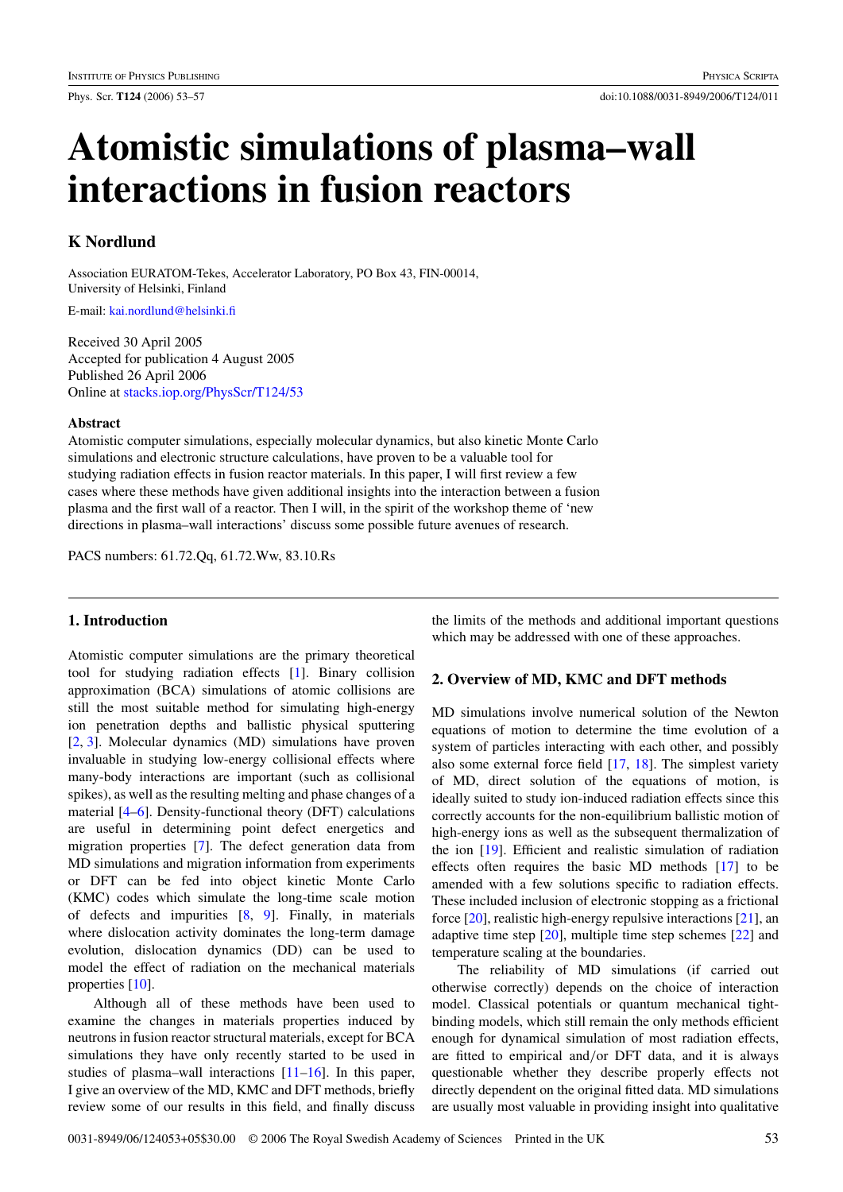# **Atomistic simulations of plasma–wall interactions in fusion reactors**

# **K Nordlund**

Association EURATOM-Tekes, Accelerator Laboratory, PO Box 43, FIN-00014, University of Helsinki, Finland

E-mail: [kai.nordlund@helsinki.fi](mailto:kai.nordlund@helsinki.fi)

Received 30 April 2005 Accepted for publication 4 August 2005 Published 26 April 2006 Online at [stacks.iop.org/PhysScr/T124/53](http://stacks.iop.org/PhysScr/T124/53)

#### **Abstract**

Atomistic computer simulations, especially molecular dynamics, but also kinetic Monte Carlo simulations and electronic structure calculations, have proven to be a valuable tool for studying radiation effects in fusion reactor materials. In this paper, I will first review a few cases where these methods have given additional insights into the interaction between a fusion plasma and the first wall of a reactor. Then I will, in the spirit of the workshop theme of 'new directions in plasma–wall interactions' discuss some possible future avenues of research.

PACS numbers: 61.72.Qq, 61.72.Ww, 83.10.Rs

## **1. Introduction**

Atomistic computer simulations are the primary theoretical tool for studying radiation effects [\[1\]](#page-4-0). Binary collision approximation (BCA) simulations of atomic collisions are still the most suitable method for simulating high-energy ion penetration depths and ballistic physical sputtering [\[2,](#page-4-0) [3\]](#page-4-0). Molecular dynamics (MD) simulations have proven invaluable in studying low-energy collisional effects where many-body interactions are important (such as collisional spikes), as well as the resulting melting and phase changes of a material [\[4–6\]](#page-4-0). Density-functional theory (DFT) calculations are useful in determining point defect energetics and migration properties [\[7\]](#page-4-0). The defect generation data from MD simulations and migration information from experiments or DFT can be fed into object kinetic Monte Carlo (KMC) codes which simulate the long-time scale motion of defects and impurities [\[8,](#page-4-0) [9\]](#page-4-0). Finally, in materials where dislocation activity dominates the long-term damage evolution, dislocation dynamics (DD) can be used to model the effect of radiation on the mechanical materials properties [\[10\]](#page-4-0).

Although all of these methods have been used to examine the changes in materials properties induced by neutrons in fusion reactor structural materials, except for BCA simulations they have only recently started to be used in studies of plasma–wall interactions [\[11–16\]](#page-4-0). In this paper, I give an overview of the MD, KMC and DFT methods, briefly review some of our results in this field, and finally discuss the limits of the methods and additional important questions which may be addressed with one of these approaches.

## **2. Overview of MD, KMC and DFT methods**

MD simulations involve numerical solution of the Newton equations of motion to determine the time evolution of a system of particles interacting with each other, and possibly also some external force field [\[17,](#page-4-0) [18\]](#page-4-0). The simplest variety of MD, direct solution of the equations of motion, is ideally suited to study ion-induced radiation effects since this correctly accounts for the non-equilibrium ballistic motion of high-energy ions as well as the subsequent thermalization of the ion [\[19\]](#page-4-0). Efficient and realistic simulation of radiation effects often requires the basic MD methods [\[17\]](#page-4-0) to be amended with a few solutions specific to radiation effects. These included inclusion of electronic stopping as a frictional force [\[20\]](#page-4-0), realistic high-energy repulsive interactions [\[21\]](#page-4-0), an adaptive time step [\[20\]](#page-4-0), multiple time step schemes [\[22\]](#page-4-0) and temperature scaling at the boundaries.

The reliability of MD simulations (if carried out otherwise correctly) depends on the choice of interaction model. Classical potentials or quantum mechanical tightbinding models, which still remain the only methods efficient enough for dynamical simulation of most radiation effects, are fitted to empirical and/or DFT data, and it is always questionable whether they describe properly effects not directly dependent on the original fitted data. MD simulations are usually most valuable in providing insight into qualitative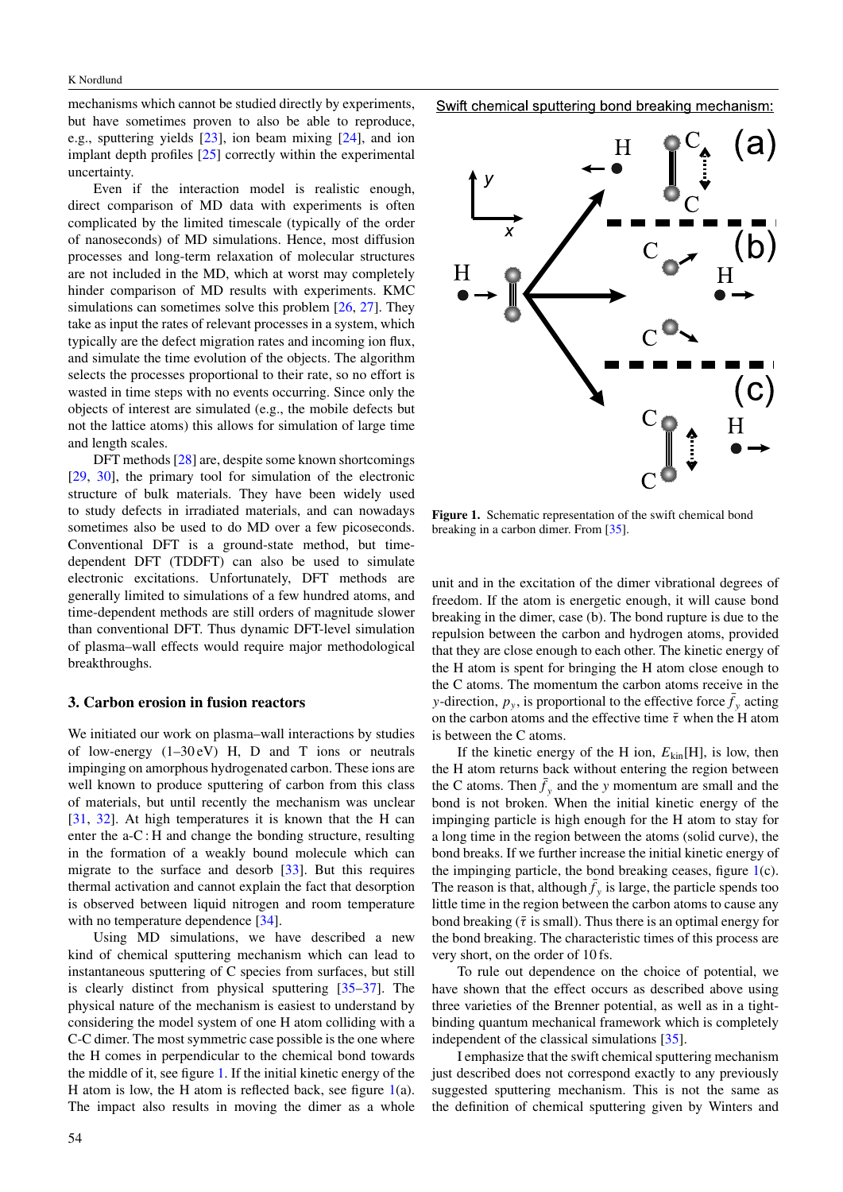mechanisms which cannot be studied directly by experiments, but have sometimes proven to also be able to reproduce, e.g., sputtering yields [\[23\]](#page-4-0), ion beam mixing [\[24\]](#page-4-0), and ion implant depth profiles [\[25\]](#page-4-0) correctly within the experimental uncertainty.

Even if the interaction model is realistic enough, direct comparison of MD data with experiments is often complicated by the limited timescale (typically of the order of nanoseconds) of MD simulations. Hence, most diffusion processes and long-term relaxation of molecular structures are not included in the MD, which at worst may completely hinder comparison of MD results with experiments. KMC simulations can sometimes solve this problem  $[26, 27]$  $[26, 27]$  $[26, 27]$ . They take as input the rates of relevant processes in a system, which typically are the defect migration rates and incoming ion flux, and simulate the time evolution of the objects. The algorithm selects the processes proportional to their rate, so no effort is wasted in time steps with no events occurring. Since only the objects of interest are simulated (e.g., the mobile defects but not the lattice atoms) this allows for simulation of large time and length scales.

DFT methods [\[28\]](#page-4-0) are, despite some known shortcomings [\[29,](#page-4-0) [30\]](#page-4-0), the primary tool for simulation of the electronic structure of bulk materials. They have been widely used to study defects in irradiated materials, and can nowadays sometimes also be used to do MD over a few picoseconds. Conventional DFT is a ground-state method, but timedependent DFT (TDDFT) can also be used to simulate electronic excitations. Unfortunately, DFT methods are generally limited to simulations of a few hundred atoms, and time-dependent methods are still orders of magnitude slower than conventional DFT. Thus dynamic DFT-level simulation of plasma–wall effects would require major methodological breakthroughs.

#### **3. Carbon erosion in fusion reactors**

We initiated our work on plasma–wall interactions by studies of low-energy  $(1-30 \text{ eV})$  H, D and T ions or neutrals impinging on amorphous hydrogenated carbon. These ions are well known to produce sputtering of carbon from this class of materials, but until recently the mechanism was unclear [\[31,](#page-4-0) [32\]](#page-4-0). At high temperatures it is known that the H can enter the a-C : H and change the bonding structure, resulting in the formation of a weakly bound molecule which can migrate to the surface and desorb [\[33\]](#page-4-0). But this requires thermal activation and cannot explain the fact that desorption is observed between liquid nitrogen and room temperature with no temperature dependence [\[34\]](#page-4-0).

Using MD simulations, we have described a new kind of chemical sputtering mechanism which can lead to instantaneous sputtering of C species from surfaces, but still is clearly distinct from physical sputtering [\[35–37\]](#page-4-0). The physical nature of the mechanism is easiest to understand by considering the model system of one H atom colliding with a C-C dimer. The most symmetric case possible is the one where the H comes in perpendicular to the chemical bond towards the middle of it, see figure 1. If the initial kinetic energy of the H atom is low, the H atom is reflected back, see figure  $1(a)$ . The impact also results in moving the dimer as a whole Swift chemical sputtering bond breaking mechanism:



**Figure 1.** Schematic representation of the swift chemical bond breaking in a carbon dimer. From [\[35\]](#page-4-0).

unit and in the excitation of the dimer vibrational degrees of freedom. If the atom is energetic enough, it will cause bond breaking in the dimer, case (b). The bond rupture is due to the repulsion between the carbon and hydrogen atoms, provided that they are close enough to each other. The kinetic energy of the H atom is spent for bringing the H atom close enough to the C atoms. The momentum the carbon atoms receive in the *y*-direction,  $p_y$ , is proportional to the effective force  $\bar{f}_y$  acting on the carbon atoms and the effective time  $\bar{\tau}$  when the H atom is between the C atoms.

If the kinetic energy of the H ion,  $E_{kin}$ [H], is low, then the H atom returns back without entering the region between the C atoms. Then  $\bar{f}_y$  and the *y* momentum are small and the bond is not broken. When the initial kinetic energy of the impinging particle is high enough for the H atom to stay for a long time in the region between the atoms (solid curve), the bond breaks. If we further increase the initial kinetic energy of the impinging particle, the bond breaking ceases, figure 1(c). The reason is that, although  $\bar{f}_y$  is large, the particle spends too little time in the region between the carbon atoms to cause any bond breaking ( $\bar{\tau}$  is small). Thus there is an optimal energy for the bond breaking. The characteristic times of this process are very short, on the order of 10 fs.

To rule out dependence on the choice of potential, we have shown that the effect occurs as described above using three varieties of the Brenner potential, as well as in a tightbinding quantum mechanical framework which is completely independent of the classical simulations [\[35\]](#page-4-0).

I emphasize that the swift chemical sputtering mechanism just described does not correspond exactly to any previously suggested sputtering mechanism. This is not the same as the definition of chemical sputtering given by Winters and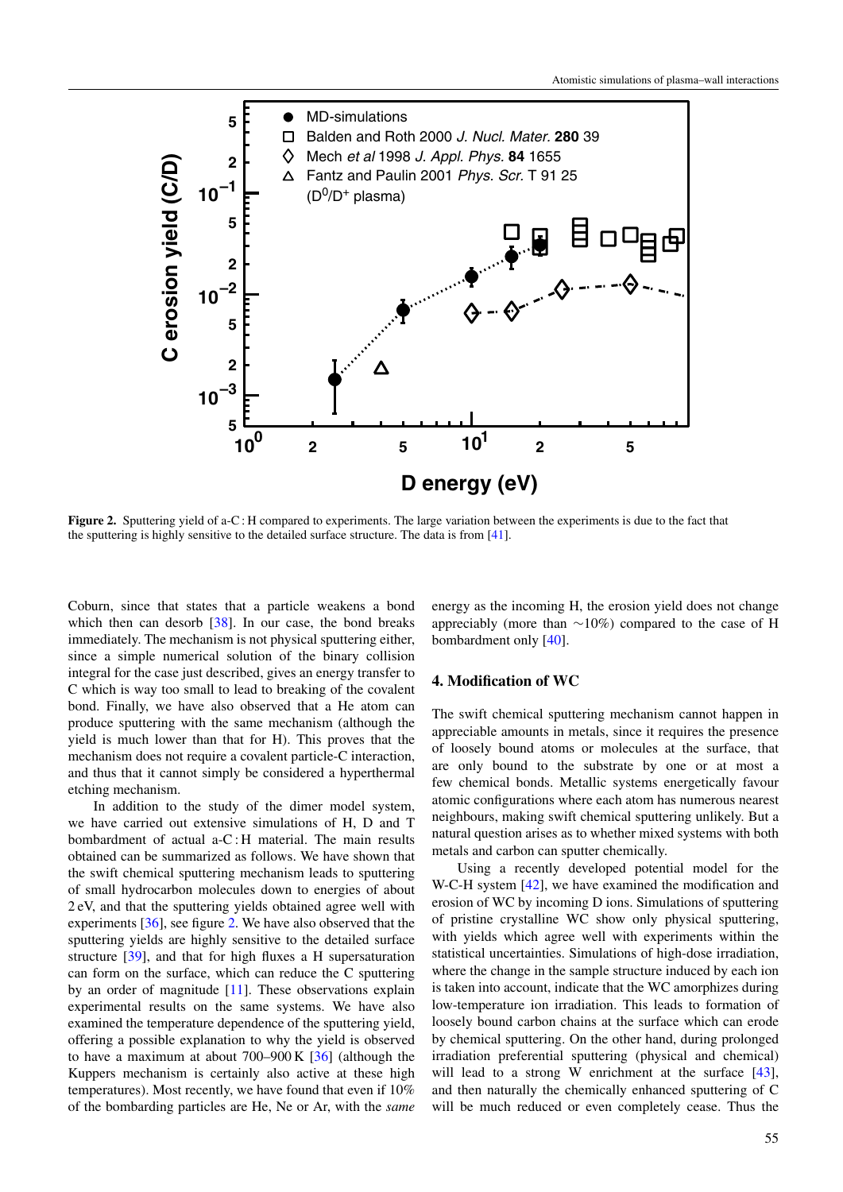<span id="page-2-0"></span>

**Figure 2.** Sputtering yield of a-C: H compared to experiments. The large variation between the experiments is due to the fact that the sputtering is highly sensitive to the detailed surface structure. The data is from [\[41\]](#page-4-0).

Coburn, since that states that a particle weakens a bond which then can desorb [\[38\]](#page-4-0). In our case, the bond breaks immediately. The mechanism is not physical sputtering either, since a simple numerical solution of the binary collision integral for the case just described, gives an energy transfer to C which is way too small to lead to breaking of the covalent bond. Finally, we have also observed that a He atom can produce sputtering with the same mechanism (although the yield is much lower than that for H). This proves that the mechanism does not require a covalent particle-C interaction, and thus that it cannot simply be considered a hyperthermal etching mechanism.

In addition to the study of the dimer model system, we have carried out extensive simulations of H, D and T bombardment of actual a-C : H material. The main results obtained can be summarized as follows. We have shown that the swift chemical sputtering mechanism leads to sputtering of small hydrocarbon molecules down to energies of about 2 eV, and that the sputtering yields obtained agree well with experiments [\[36\]](#page-4-0), see figure 2. We have also observed that the sputtering yields are highly sensitive to the detailed surface structure [\[39\]](#page-4-0), and that for high fluxes a H supersaturation can form on the surface, which can reduce the C sputtering by an order of magnitude [\[11\]](#page-4-0). These observations explain experimental results on the same systems. We have also examined the temperature dependence of the sputtering yield, offering a possible explanation to why the yield is observed to have a maximum at about  $700-900 \text{ K}$  [\[36\]](#page-4-0) (although the Kuppers mechanism is certainly also active at these high temperatures). Most recently, we have found that even if 10% of the bombarding particles are He, Ne or Ar, with the *same* energy as the incoming H, the erosion yield does not change appreciably (more than ∼10%) compared to the case of H bombardment only [\[40\]](#page-4-0).

#### **4. Modification of WC**

The swift chemical sputtering mechanism cannot happen in appreciable amounts in metals, since it requires the presence of loosely bound atoms or molecules at the surface, that are only bound to the substrate by one or at most a few chemical bonds. Metallic systems energetically favour atomic configurations where each atom has numerous nearest neighbours, making swift chemical sputtering unlikely. But a natural question arises as to whether mixed systems with both metals and carbon can sputter chemically.

Using a recently developed potential model for the W-C-H system [\[42\]](#page-4-0), we have examined the modification and erosion of WC by incoming D ions. Simulations of sputtering of pristine crystalline WC show only physical sputtering, with yields which agree well with experiments within the statistical uncertainties. Simulations of high-dose irradiation, where the change in the sample structure induced by each ion is taken into account, indicate that the WC amorphizes during low-temperature ion irradiation. This leads to formation of loosely bound carbon chains at the surface which can erode by chemical sputtering. On the other hand, during prolonged irradiation preferential sputtering (physical and chemical) will lead to a strong W enrichment at the surface [\[43\]](#page-4-0), and then naturally the chemically enhanced sputtering of C will be much reduced or even completely cease. Thus the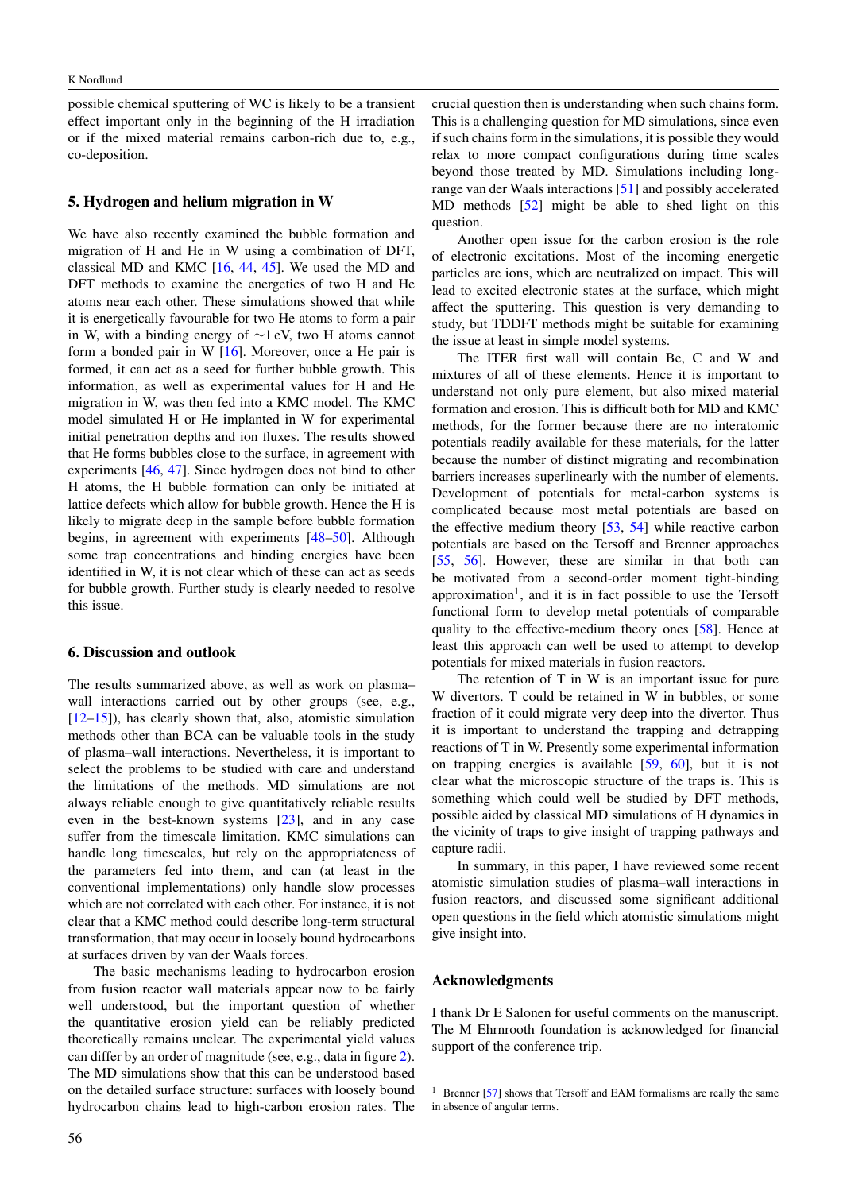possible chemical sputtering of WC is likely to be a transient effect important only in the beginning of the H irradiation or if the mixed material remains carbon-rich due to, e.g., co-deposition.

#### **5. Hydrogen and helium migration in W**

We have also recently examined the bubble formation and migration of H and He in W using a combination of DFT, classical MD and KMC [\[16,](#page-4-0) [44,](#page-4-0) [45\]](#page-4-0). We used the MD and DFT methods to examine the energetics of two H and He atoms near each other. These simulations showed that while it is energetically favourable for two He atoms to form a pair in W, with a binding energy of ∼1 eV, two H atoms cannot form a bonded pair in W [\[16\]](#page-4-0). Moreover, once a He pair is formed, it can act as a seed for further bubble growth. This information, as well as experimental values for H and He migration in W, was then fed into a KMC model. The KMC model simulated H or He implanted in W for experimental initial penetration depths and ion fluxes. The results showed that He forms bubbles close to the surface, in agreement with experiments [\[46,](#page-4-0) [47\]](#page-4-0). Since hydrogen does not bind to other H atoms, the H bubble formation can only be initiated at lattice defects which allow for bubble growth. Hence the H is likely to migrate deep in the sample before bubble formation begins, in agreement with experiments [\[48–50\]](#page-4-0). Although some trap concentrations and binding energies have been identified in W, it is not clear which of these can act as seeds for bubble growth. Further study is clearly needed to resolve this issue.

#### **6. Discussion and outlook**

The results summarized above, as well as work on plasma– wall interactions carried out by other groups (see, e.g., [\[12–15\]](#page-4-0)), has clearly shown that, also, atomistic simulation methods other than BCA can be valuable tools in the study of plasma–wall interactions. Nevertheless, it is important to select the problems to be studied with care and understand the limitations of the methods. MD simulations are not always reliable enough to give quantitatively reliable results even in the best-known systems [\[23\]](#page-4-0), and in any case suffer from the timescale limitation. KMC simulations can handle long timescales, but rely on the appropriateness of the parameters fed into them, and can (at least in the conventional implementations) only handle slow processes which are not correlated with each other. For instance, it is not clear that a KMC method could describe long-term structural transformation, that may occur in loosely bound hydrocarbons at surfaces driven by van der Waals forces.

The basic mechanisms leading to hydrocarbon erosion from fusion reactor wall materials appear now to be fairly well understood, but the important question of whether the quantitative erosion yield can be reliably predicted theoretically remains unclear. The experimental yield values can differ by an order of magnitude (see, e.g., data in figure [2\)](#page-2-0). The MD simulations show that this can be understood based on the detailed surface structure: surfaces with loosely bound hydrocarbon chains lead to high-carbon erosion rates. The

crucial question then is understanding when such chains form. This is a challenging question for MD simulations, since even if such chains form in the simulations, it is possible they would relax to more compact configurations during time scales beyond those treated by MD. Simulations including longrange van der Waals interactions [\[51\]](#page-4-0) and possibly accelerated MD methods [\[52\]](#page-4-0) might be able to shed light on this question.

Another open issue for the carbon erosion is the role of electronic excitations. Most of the incoming energetic particles are ions, which are neutralized on impact. This will lead to excited electronic states at the surface, which might affect the sputtering. This question is very demanding to study, but TDDFT methods might be suitable for examining the issue at least in simple model systems.

The ITER first wall will contain Be, C and W and mixtures of all of these elements. Hence it is important to understand not only pure element, but also mixed material formation and erosion. This is difficult both for MD and KMC methods, for the former because there are no interatomic potentials readily available for these materials, for the latter because the number of distinct migrating and recombination barriers increases superlinearly with the number of elements. Development of potentials for metal-carbon systems is complicated because most metal potentials are based on the effective medium theory [\[53,](#page-4-0) [54\]](#page-4-0) while reactive carbon potentials are based on the Tersoff and Brenner approaches [\[55,](#page-4-0) [56\]](#page-4-0). However, these are similar in that both can be motivated from a second-order moment tight-binding approximation<sup>1</sup>, and it is in fact possible to use the Tersoff functional form to develop metal potentials of comparable quality to the effective-medium theory ones [\[58\]](#page-4-0). Hence at least this approach can well be used to attempt to develop potentials for mixed materials in fusion reactors.

The retention of T in W is an important issue for pure W divertors. T could be retained in W in bubbles, or some fraction of it could migrate very deep into the divertor. Thus it is important to understand the trapping and detrapping reactions of T in W. Presently some experimental information on trapping energies is available [\[59,](#page-4-0) [60\]](#page-4-0), but it is not clear what the microscopic structure of the traps is. This is something which could well be studied by DFT methods, possible aided by classical MD simulations of H dynamics in the vicinity of traps to give insight of trapping pathways and capture radii.

In summary, in this paper, I have reviewed some recent atomistic simulation studies of plasma–wall interactions in fusion reactors, and discussed some significant additional open questions in the field which atomistic simulations might give insight into.

#### **Acknowledgments**

I thank Dr E Salonen for useful comments on the manuscript. The M Ehrnrooth foundation is acknowledged for financial support of the conference trip.

<sup>&</sup>lt;sup>1</sup> Brenner  $[57]$  shows that Tersoff and EAM formalisms are really the same in absence of angular terms.